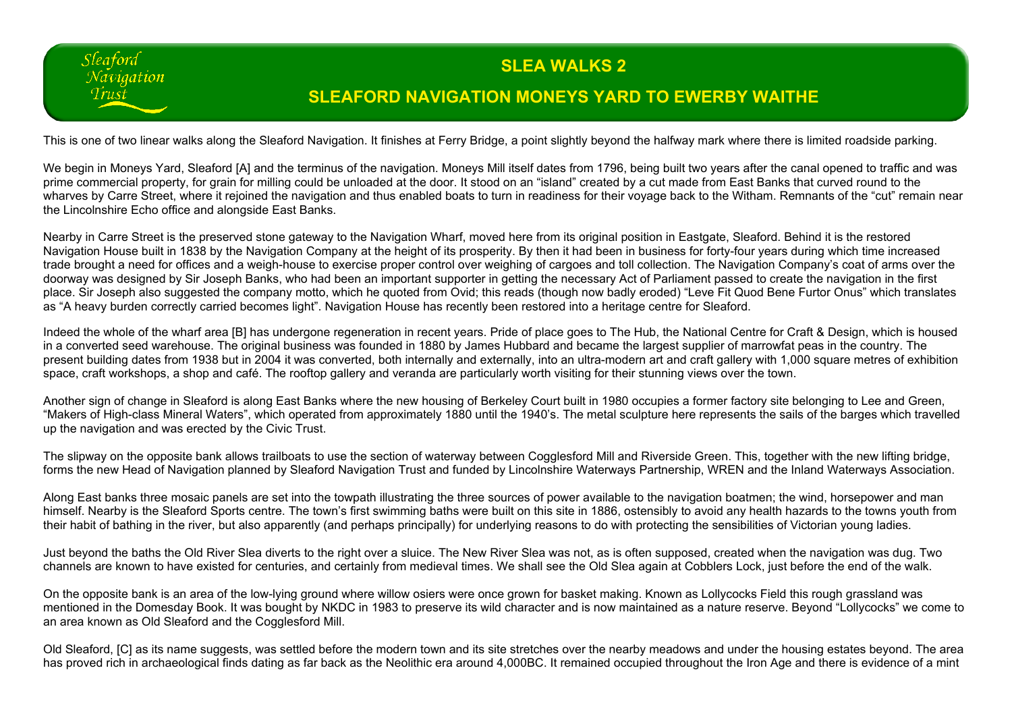## **SLEA WALKS 2**

## **SLEAFORD NAVIGATION MONEYS YARD TO EWERBY WAITHE**

This is one of two linear walks along the Sleaford Navigation. It finishes at Ferry Bridge, a point slightly beyond the halfway mark where there is limited roadside parking.

Sleaford Navigation Trust

We begin in Moneys Yard. Sleaford [A] and the terminus of the navigation. Moneys Mill itself dates from 1796, being built two years after the canal opened to traffic and was prime commercial property, for grain for milling could be unloaded at the door. It stood on an "island" created by a cut made from East Banks that curved round to the wharves by Carre Street, where it rejoined the navigation and thus enabled boats to turn in readiness for their voyage back to the Witham. Remnants of the "cut" remain near the Lincolnshire Echo office and alongside East Banks.

Nearby in Carre Street is the preserved stone gateway to the Navigation Wharf, moved here from its original position in Eastgate, Sleaford. Behind it is the restored Navigation House built in 1838 by the Navigation Company at the height of its prosperity. By then it had been in business for forty-four years during which time increased trade brought a need for offices and a weigh-house to exercise proper control over weighing of cargoes and toll collection. The Navigation Company's coat of arms over the doorway was designed by Sir Joseph Banks, who had been an important supporter in getting the necessary Act of Parliament passed to create the navigation in the first place. Sir Joseph also suggested the company motto, which he quoted from Ovid; this reads (though now badly eroded) "Leve Fit Quod Bene Furtor Onus" which translates as "A heavy burden correctly carried becomes light". Navigation House has recently been restored into a heritage centre for Sleaford.

Indeed the whole of the wharf area [B] has undergone regeneration in recent years. Pride of place goes to The Hub, the National Centre for Craft & Design, which is housed in a converted seed warehouse. The original business was founded in 1880 by James Hubbard and became the largest supplier of marrowfat peas in the country. The present building dates from 1938 but in 2004 it was converted, both internally and externally, into an ultra-modern art and craft gallery with 1,000 square metres of exhibition space, craft workshops, a shop and café. The rooftop gallery and veranda are particularly worth visiting for their stunning views over the town.

Another sign of change in Sleaford is along East Banks where the new housing of Berkeley Court built in 1980 occupies a former factory site belonging to Lee and Green, "Makers of High-class Mineral Waters", which operated from approximately 1880 until the 1940's. The metal sculpture here represents the sails of the barges which travelled up the navigation and was erected by the Civic Trust.

The slipway on the opposite bank allows trailboats to use the section of waterway between Cogglesford Mill and Riverside Green. This, together with the new lifting bridge, forms the new Head of Navigation planned by Sleaford Navigation Trust and funded by Lincolnshire Waterways Partnership, WREN and the Inland Waterways Association.

Along East banks three mosaic panels are set into the towpath illustrating the three sources of power available to the navigation boatmen; the wind, horsepower and man himself. Nearby is the Sleaford Sports centre. The town's first swimming baths were built on this site in 1886, ostensibly to avoid any health hazards to the towns youth from their habit of bathing in the river, but also apparently (and perhaps principally) for underlying reasons to do with protecting the sensibilities of Victorian young ladies.

Just beyond the baths the Old River Slea diverts to the right over a sluice. The New River Slea was not, as is often supposed, created when the navigation was dug. Two channels are known to have existed for centuries, and certainly from medieval times. We shall see the Old Slea again at Cobblers Lock, just before the end of the walk.

On the opposite bank is an area of the low-lying ground where willow osiers were once grown for basket making. Known as Lollycocks Field this rough grassland was mentioned in the Domesday Book. It was bought by NKDC in 1983 to preserve its wild character and is now maintained as a nature reserve. Beyond "Lollycocks" we come to an area known as Old Sleaford and the Cogglesford Mill.

Old Sleaford, [C] as its name suggests, was settled before the modern town and its site stretches over the nearby meadows and under the housing estates beyond. The area has proved rich in archaeological finds dating as far back as the Neolithic era around 4,000BC. It remained occupied throughout the Iron Age and there is evidence of a mint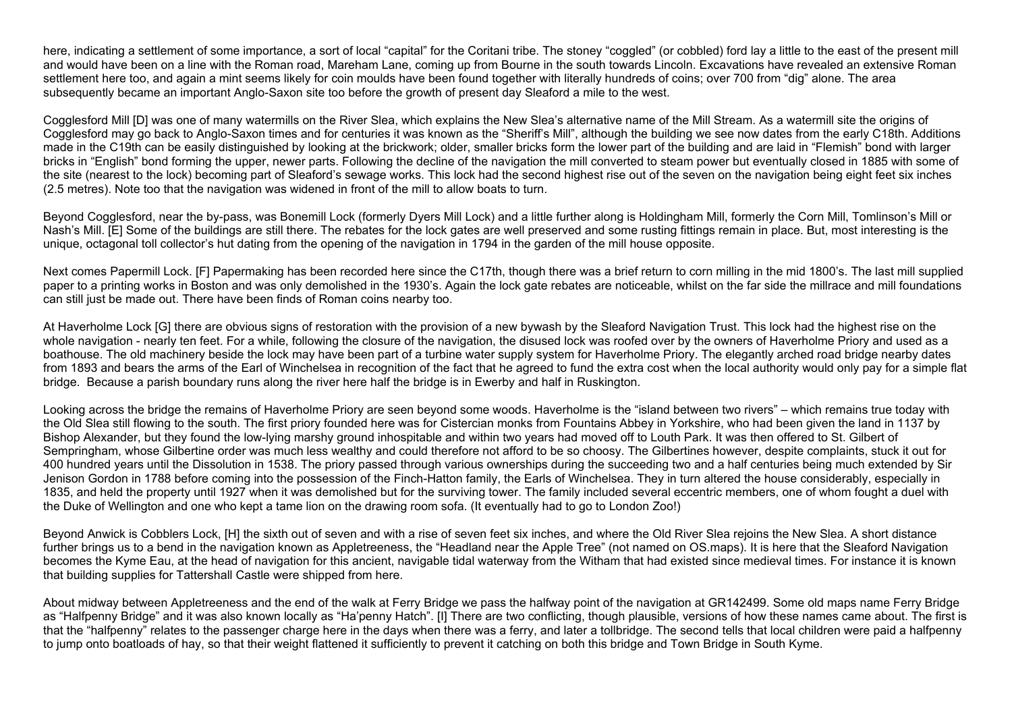here, indicating a settlement of some importance, a sort of local "capital" for the Coritani tribe. The stoney "coggled" (or cobbled) ford lay a little to the east of the present mill and would have been on a line with the Roman road, Mareham Lane, coming up from Bourne in the south towards Lincoln. Excavations have revealed an extensive Roman settlement here too, and again a mint seems likely for coin moulds have been found together with literally hundreds of coins; over 700 from "dig" alone. The area subsequently became an important Anglo-Saxon site too before the growth of present day Sleaford a mile to the west.

Cogglesford Mill [D] was one of many watermills on the River Slea, which explains the New Slea's alternative name of the Mill Stream. As a watermill site the origins of Cogglesford may go back to Anglo-Saxon times and for centuries it was known as the "Sheriff's Mill", although the building we see now dates from the early C18th. Additions made in the C19th can be easily distinguished by looking at the brickwork; older, smaller bricks form the lower part of the building and are laid in "Flemish" bond with larger bricks in "English" bond forming the upper, newer parts. Following the decline of the navigation the mill converted to steam power but eventually closed in 1885 with some of the site (nearest to the lock) becoming part of Sleaford's sewage works. This lock had the second highest rise out of the seven on the navigation being eight feet six inches (2.5 metres). Note too that the navigation was widened in front of the mill to allow boats to turn.

Beyond Cogglesford, near the by-pass, was Bonemill Lock (formerly Dyers Mill Lock) and a little further along is Holdingham Mill, formerly the Corn Mill, Tomlinson's Mill or Nash's Mill. [E] Some of the buildings are still there. The rebates for the lock gates are well preserved and some rusting fittings remain in place. But, most interesting is the unique, octagonal toll collector's hut dating from the opening of the navigation in 1794 in the garden of the mill house opposite.

Next comes Papermill Lock. [F] Papermaking has been recorded here since the C17th, though there was a brief return to corn milling in the mid 1800's. The last mill supplied paper to a printing works in Boston and was only demolished in the 1930's. Again the lock gate rebates are noticeable, whilst on the far side the millrace and mill foundations can still just be made out. There have been finds of Roman coins nearby too.

At Haverholme Lock [G] there are obvious signs of restoration with the provision of a new bywash by the Sleaford Navigation Trust. This lock had the highest rise on the whole navigation - nearly ten feet. For a while, following the closure of the navigation, the disused lock was roofed over by the owners of Haverholme Priory and used as a boathouse. The old machinery beside the lock may have been part of a turbine water supply system for Haverholme Priory. The elegantly arched road bridge nearby dates from 1893 and bears the arms of the Earl of Winchelsea in recognition of the fact that he agreed to fund the extra cost when the local authority would only pay for a simple flat bridge. Because a parish boundary runs along the river here half the bridge is in Ewerby and half in Ruskington.

Looking across the bridge the remains of Haverholme Priory are seen beyond some woods. Haverholme is the "island between two rivers" – which remains true today with the Old Slea still flowing to the south. The first priory founded here was for Cistercian monks from Fountains Abbey in Yorkshire, who had been given the land in 1137 by Bishop Alexander, but they found the low-lying marshy ground inhospitable and within two years had moved off to Louth Park. It was then offered to St. Gilbert of Sempringham, whose Gilbertine order was much less wealthy and could therefore not afford to be so choosy. The Gilbertines however, despite complaints, stuck it out for 400 hundred years until the Dissolution in 1538. The priory passed through various ownerships during the succeeding two and a half centuries being much extended by Sir Jenison Gordon in 1788 before coming into the possession of the Finch-Hatton family, the Earls of Winchelsea. They in turn altered the house considerably, especially in 1835, and held the property until 1927 when it was demolished but for the surviving tower. The family included several eccentric members, one of whom fought a duel with the Duke of Wellington and one who kept a tame lion on the drawing room sofa. (It eventually had to go to London Zoo!)

Beyond Anwick is Cobblers Lock, [H] the sixth out of seven and with a rise of seven feet six inches, and where the Old River Slea rejoins the New Slea. A short distance further brings us to a bend in the navigation known as Appletreeness, the "Headland near the Apple Tree" (not named on OS maps). It is here that the Sleaford Navigation becomes the Kyme Eau, at the head of navigation for this ancient, navigable tidal waterway from the Witham that had existed since medieval times. For instance it is known that building supplies for Tattershall Castle were shipped from here.

About midway between Appletreeness and the end of the walk at Ferry Bridge we pass the halfway point of the navigation at GR142499. Some old maps name Ferry Bridge as "Halfpenny Bridge" and it was also known locally as "Ha'penny Hatch". [I] There are two conflicting, though plausible, versions of how these names came about. The first is that the "halfpenny" relates to the passenger charge here in the days when there was a ferry, and later a tollbridge. The second tells that local children were paid a halfpenny to jump onto boatloads of hay, so that their weight flattened it sufficiently to prevent it catching on both this bridge and Town Bridge in South Kyme.